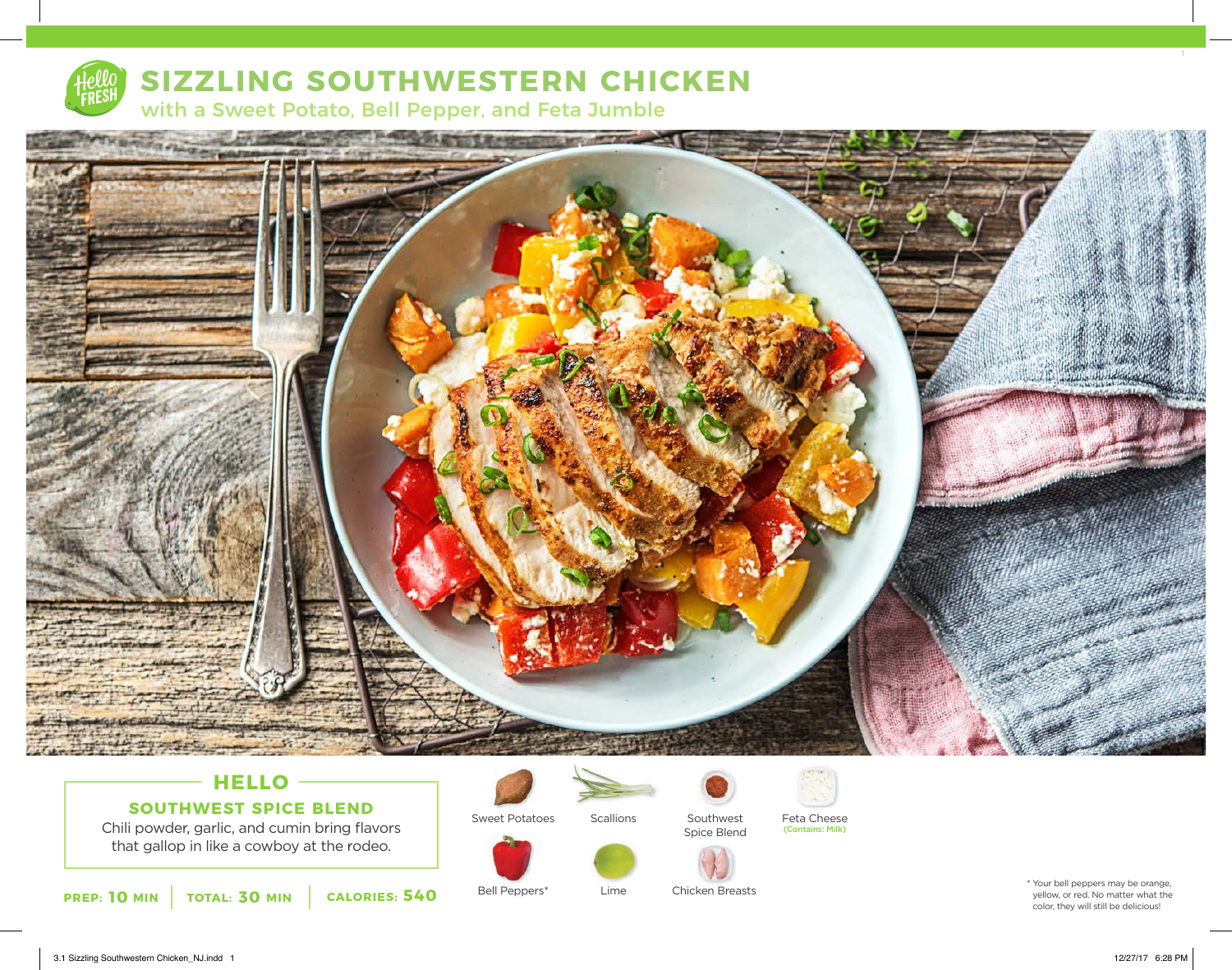

# **SIZZLING SOUTHWESTERN CHICKEN**

with a Sweet Potato, Bell Pepper, and Feta Jumble



## **HELLO SOUTHWEST SPICE BLEND**

Chili powder, garlic, and cumin bring flavors that gallop in like a cowboy at the rodeo.









Lime

Bell Peppers\*



Chicken Breasts

Southwest Spice Blend

Scallions Southwest Feta Cheese (Contains: Milk)



3.1 Sizzling Southwestern Chicken\_NJ.indd 1 12/27/17 6:28 PM